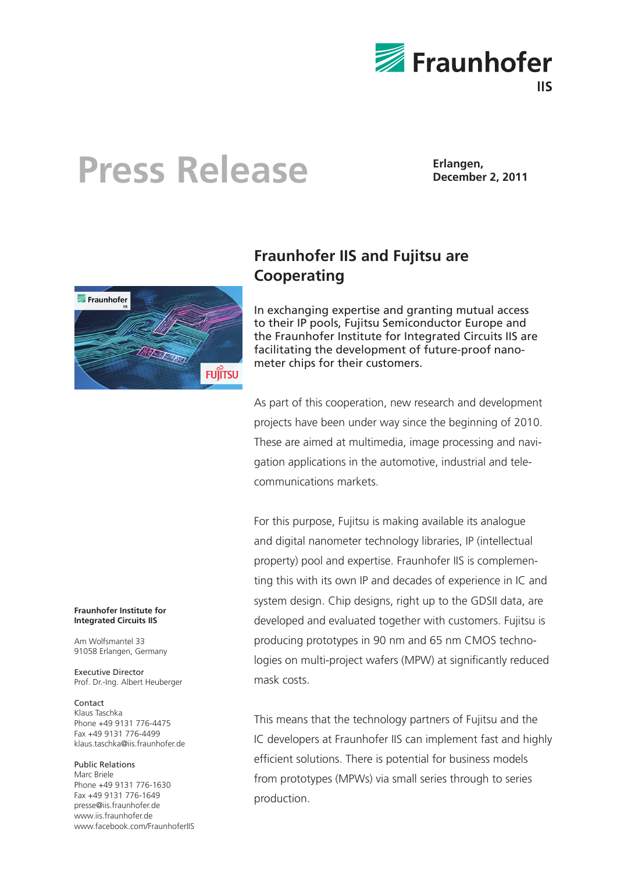

## **Press Release Erlangen, December 2, 2011**



### **Fraunhofer IIS and Fujitsu are Cooperating**

In exchanging expertise and granting mutual access to their IP pools, Fujitsu Semiconductor Europe and the Fraunhofer Institute for Integrated Circuits IIS are facilitating the development of future-proof nanometer chips for their customers.

As part of this cooperation, new research and development projects have been under way since the beginning of 2010. These are aimed at multimedia, image processing and navigation applications in the automotive, industrial and telecommunications markets.

For this purpose, Fujitsu is making available its analogue and digital nanometer technology libraries, IP (intellectual property) pool and expertise. Fraunhofer IIS is complementing this with its own IP and decades of experience in IC and system design. Chip designs, right up to the GDSII data, are developed and evaluated together with customers. Fujitsu is producing prototypes in 90 nm and 65 nm CMOS technologies on multi-project wafers (MPW) at significantly reduced mask costs.

This means that the technology partners of Fujitsu and the IC developers at Fraunhofer IIS can implement fast and highly efficient solutions. There is potential for business models from prototypes (MPWs) via small series through to series production.

### **Fraunhofer Institute for Integrated Circuits IIS**

Am Wolfsmantel 33 91058 Erlangen, Germany

Executive Director Prof. Dr.-Ing. Albert Heuberger

### Contact

Klaus Taschka Phone +49 9131 776-4475 Fax +49 9131 776-4499 klaus.taschka@iis.fraunhofer.de

### Public Relations

Marc Briele Phone +49 9131 776-1630 Fax +49 9131 776-1649 presse@iis.fraunhofer.de www.iis.fraunhofer.de www.facebook.com/FraunhoferIIS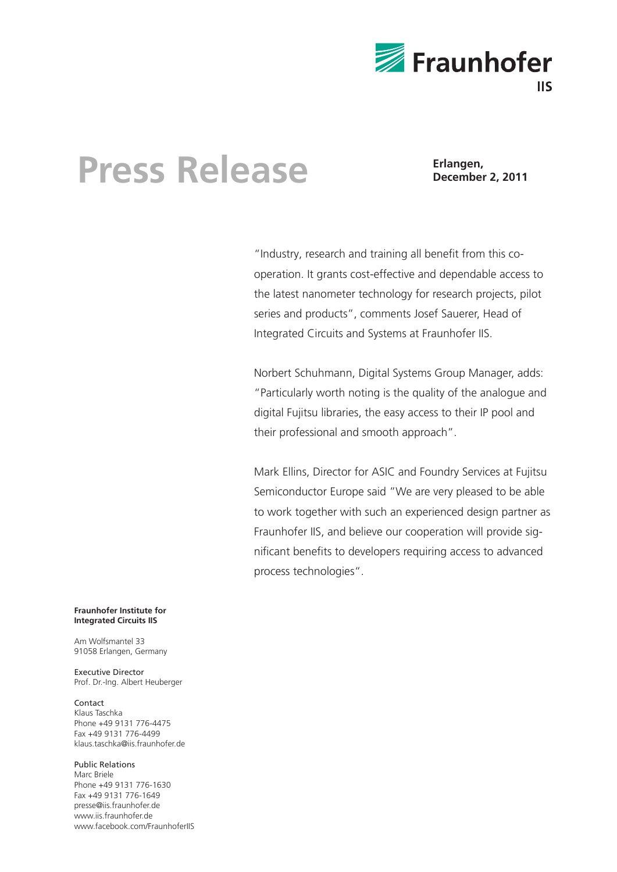

# **Press Release Erlangen, December 2, 2011**

"Industry, research and training all benefit from this cooperation. It grants cost-effective and dependable access to the latest nanometer technology for research projects, pilot series and products", comments Josef Sauerer, Head of Integrated Circuits and Systems at Fraunhofer IIS.

Norbert Schuhmann, Digital Systems Group Manager, adds: "Particularly worth noting is the quality of the analogue and digital Fujitsu libraries, the easy access to their IP pool and their professional and smooth approach".

Mark Ellins, Director for ASIC and Foundry Services at Fujitsu Semiconductor Europe said "We are very pleased to be able to work together with such an experienced design partner as Fraunhofer IIS, and believe our cooperation will provide significant benefits to developers requiring access to advanced process technologies".

### **Fraunhofer Institute for Integrated Circuits IIS**

Am Wolfsmantel 33 91058 Erlangen, Germany

Executive Director Prof. Dr.-Ing. Albert Heuberger

Contact Klaus Taschka Phone +49 9131 776-4475 Fax +49 9131 776-4499 klaus.taschka@iis.fraunhofer.de

Public Relations Marc Briele Phone +49 9131 776-1630 Fax +49 9131 776-1649 presse@iis.fraunhofer.de www.iis.fraunhofer.de www.facebook.com/FraunhoferIIS